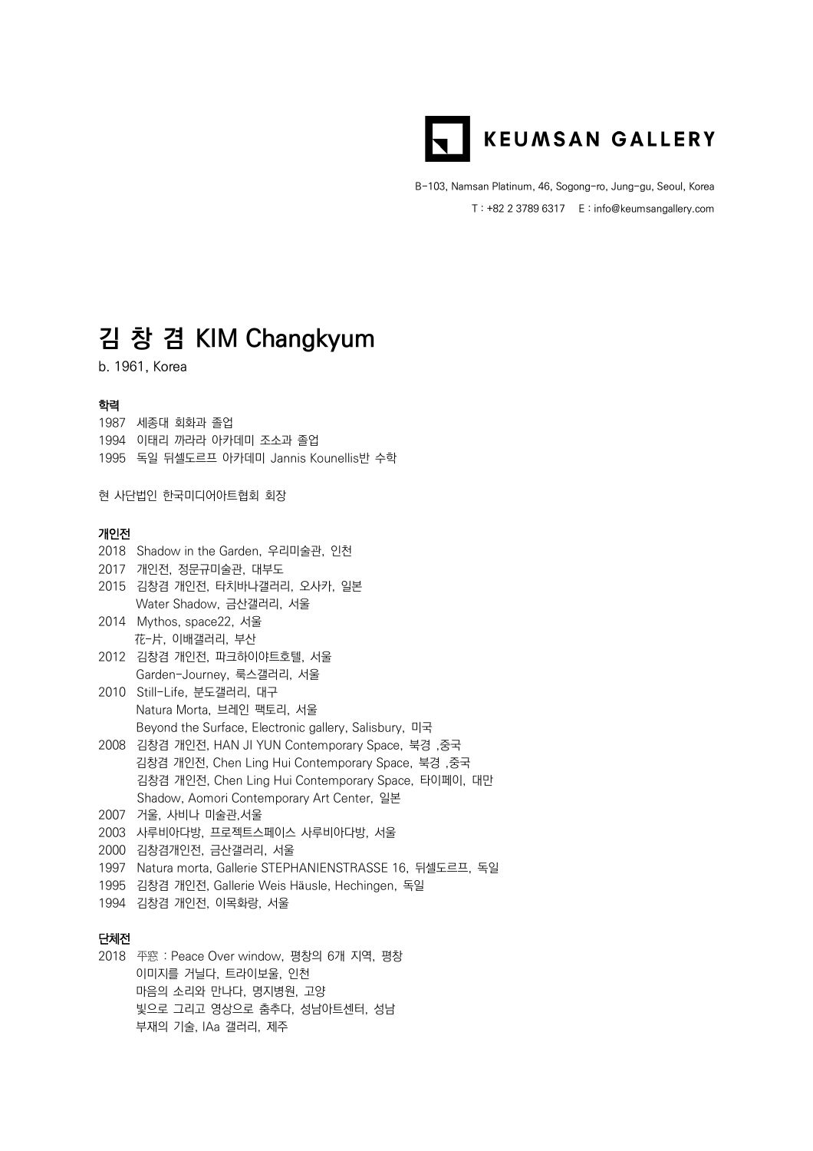

B-103, Namsan Platinum, 46, Sogong-ro, Jung-gu, Seoul, Korea T : +82 2 3789 6317 E : info@keumsangallery.com

# **김 창 겸 KIM Changkyum**

b. 1961, Korea

### 학력

1987 세종대 회화과 졸업 1994 이태리 까라라 아카데미 조소과 졸업 1995 독일 뒤셀도르프 아카데미 Jannis Kounellis반 수학

현 사단법인 한국미디어아트협회 회장

### 개인전

|      | 2018 Shadow in the Garden, 우리미술관, 인천                   |
|------|--------------------------------------------------------|
|      | 2017 개인전, 정문규미술관, 대부도                                  |
|      | 2015 김창겸 개인전, 타치바나갤러리, 오사카, 일본                         |
|      | Water Shadow, 금산갤러리, 서울                                |
|      | 2014 Mythos, space22, 서울                               |
|      | 花-片, 이배갤러리, 부산                                         |
|      | 2012 김창겸 개인전, 파크하이야트호텔, 서울                             |
|      | Garden-Journey, 룩스갤러리, 서울                              |
|      | 2010 Still-Life, 분도갤러리, 대구                             |
|      | Natura Morta, 브레인 팩토리, 서울                              |
|      | Beyond the Surface, Electronic gallery, Salisbury, 미국  |
|      | 2008 김창겸 개인전, HAN JI YUN Contemporary Space, 북경, 중국    |
|      | 김창겸 개인전, Chen Ling Hui Contemporary Space, 북경, 중국      |
|      | 김창겸 개인전, Chen Ling Hui Contemporary Space, 타이페이, 대만    |
|      | Shadow, Aomori Contemporary Art Center, 일본             |
|      | 2007 거울, 사비나 미술관,서울                                    |
|      | 2003 사루비아다방, 프로젝트스페이스 사루비아다방, 서울                       |
|      | 2000 김창겸개인전, 금산갤러리, 서울                                 |
| 1997 | Natura morta, Gallerie STEPHANIENSTRASSE 16, 뒤셀도르프, 독일 |
| 1995 | 김창겸 개인전, Gallerie Weis Häusle, Hechingen, 독일           |
|      | 1994 김창겸 개인전, 이목화랑, 서울                                 |
|      |                                                        |
| 단체전  |                                                        |
|      |                                                        |

# 단체전

2018 平窓 : Peace Over window, 평창의 6개 지역, 평창 이미지를 거닐다, 트라이보울, 인천 마음의 소리와 만나다, 명지병원, 고양 빛으로 그리고 영상으로 춤추다, 성남아트센터, 성남 부재의 기술, IAa 갤러리, 제주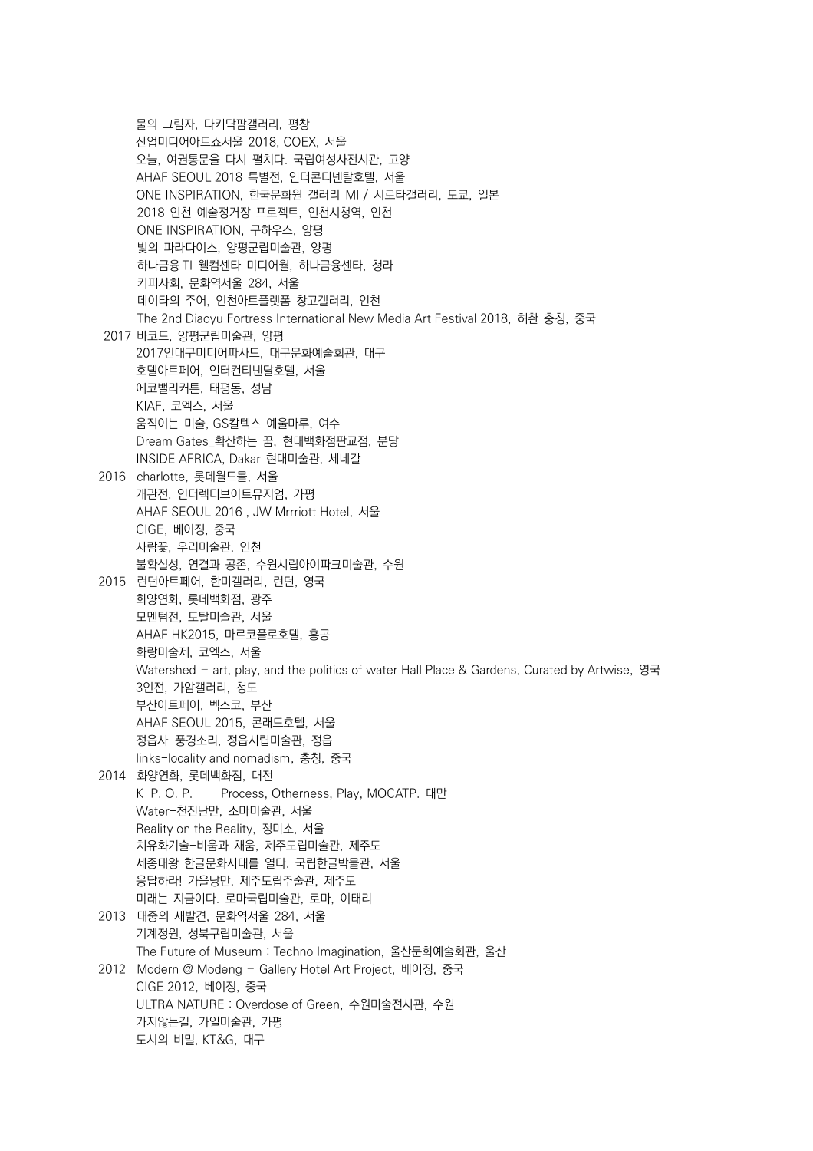물의 그림자, 다키닥팜갤러리, 평창 산업미디어아트쇼서울 2018, COEX, 서울 오늘, 여권통문을 다시 펼치다. 국립여성사전시관, 고양 AHAF SEOUL 2018 특별전, 인터콘티넨탈호텔, 서울 ONE INSPIRATION, 한국문화원 갤러리 MI / 시로타갤러리, 도쿄, 일본 2018 인천 예술정거장 프로젝트, 인천시청역, 인천 ONE INSPIRATION, 구하우스, 양평 빛의 파라다이스, 양평군립미술관, 양평 하나금융 TI 웰컴센타 미디어월, 하나금융센타, 청라 커피사회, 문화역서울 284, 서울 데이타의 주어, 인천아트플렛폼 창고갤러리, 인천 The 2nd Diaoyu Fortress International New Media Art Festival 2018, 허촨 충칭, 중국 2017 바코드, 양평군립미술관, 양평 2017인대구미디어파사드, 대구문화예술회관, 대구 호텔아트페어, 인터컨티넨탈호텔, 서울 에코밸리커튼, 태평동, 성남 KIAF, 코엑스, 서울 움직이는 미술, GS칼텍스 예울마루, 여수 Dream Gates\_확산하는 꿈, 현대백화점판교점, 분당 INSIDE AFRICA, Dakar 현대미술관, 세네갈 2016 charlotte, 롯데월드몰, 서울 개관전, 인터렉티브아트뮤지엄, 가평 AHAF SEOUL 2016 , JW Mrrriott Hotel, 서울 CIGE, 베이징, 중국 사람꽃, 우리미술관, 인천 불확실성, 연결과 공존, 수원시립아이파크미술관, 수원 2015 런던아트페어, 한미갤러리, 런던, 영국 화양연화, 롯데백화점, 광주 모멘텀전, 토탈미술관, 서울 AHAF HK2015, 마르코폴로호텔, 홍콩 화랑미술제, 코엑스, 서울 Watershed – art, play, and the politics of water Hall Place & Gardens, Curated by Artwise, 영국 3인전, 가암갤러리, 청도 부산아트페어, 벡스코, 부산 AHAF SEOUL 2015, 콘래드호텔, 서울 정읍사-풍경소리, 정읍시립미술관, 정읍 links-locality and nomadism, 충칭, 중국 2014 화양연화, 롯데백화점, 대전 K-P. O. P.----Process, Otherness, Play, MOCATP. 대만 Water-천진난만, 소마미술관, 서울 Reality on the Reality, 정미소, 서울 치유화기술-비움과 채움, 제주도립미술관, 제주도 세종대왕 한글문화시대를 열다. 국립한글박물관, 서울 응답하라! 가을낭만, 제주도립주술관, 제주도 미래는 지금이다. 로마국립미술관, 로마, 이태리 2013 대중의 새발견, 문화역서울 284, 서울 기계정원, 성북구립미술관, 서울 The Future of Museum : Techno Imagination, 울산문화예술회관, 울산 2012 Modern @ Modeng – Gallery Hotel Art Project, 베이징, 중국 CIGE 2012, 베이징, 중국 ULTRA NATURE : Overdose of Green, 수원미술전시관, 수원 가지않는길, 가일미술관, 가평 도시의 비밀, KT&G, 대구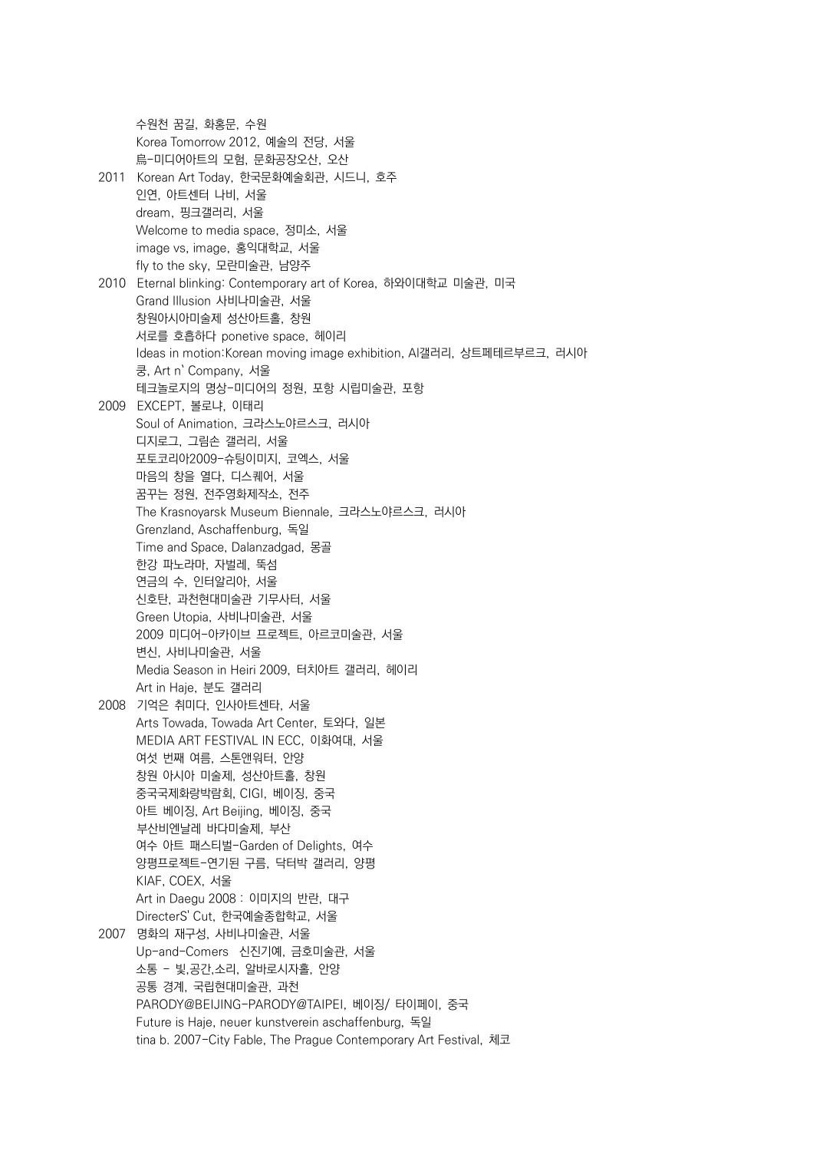수원천 꿈길, 화홍문, 수원 Korea Tomorrow 2012, 예술의 전당, 서울 烏-미디어아트의 모험, 문화공장오산, 오산 2011 Korean Art Today, 한국문화예술회관, 시드니, 호주 인연, 아트센터 나비, 서울 dream, 핑크갤러리, 서울 Welcome to media space, 정미소, 서울 image vs, image, 홍익대학교, 서울 fly to the sky, 모란미술관, 남양주 2010 Eternal blinking: Contemporary art of Korea, 하와이대학교 미술관, 미국 Grand Illusion 사비나미술관, 서울 창원아시아미술제 성산아트홀, 창원 서로를 호흡하다 ponetive space, 헤이리 Ideas in motion:Korean moving image exhibition, Al갤러리, 상트페테르부르크, 러시아 쿵, Art n` Company, 서울 테크놀로지의 명상-미디어의 정원, 포항 시립미술관, 포항 2009 EXCEPT, 볼로냐, 이태리 Soul of Animation, 크라스노야르스크, 러시아 디지로그, 그림손 갤러리, 서울 포토코리아2009-슈팅이미지, 코엑스, 서울 마음의 창을 열다, 디스퀘어, 서울 꿈꾸는 정원, 전주영화제작소, 전주 The Krasnoyarsk Museum Biennale, 크라스노야르스크, 러시아 Grenzland, Aschaffenburg, 독일 Time and Space, Dalanzadgad, 몽골 한강 파노라마, 자벌레, 뚝섬 연금의 수, 인터알리아, 서울 신호탄, 과천현대미술관 기무사터, 서울 Green Utopia, 사비나미술관, 서울 2009 미디어-아카이브 프로젝트, 아르코미술관, 서울 변신, 사비나미술관, 서울 Media Season in Heiri 2009, 터치아트 갤러리, 헤이리 Art in Haje, 분도 갤러리 2008 기억은 취미다, 인사아트센타, 서울 Arts Towada, Towada Art Center, 토와다, 일본 MEDIA ART FESTIVAL IN ECC, 이화여대, 서울 여섯 번째 여름, 스톤앤워터, 안양 창원 아시아 미술제, 성산아트홀, 창원 중국국제화랑박람회, CIGI, 베이징, 중국 아트 베이징, Art Beijing, 베이징, 중국 부산비엔날레 바다미술제, 부산 여수 아트 패스티벌-Garden of Delights, 여수 양평프로젝트-연기된 구름, 닥터박 갤러리, 양평 KIAF, COEX, 서울 Art in Daegu 2008 : 이미지의 반란, 대구 DirecterS' Cut, 한국예술종합학교, 서울 2007 명화의 재구성, 사비나미술관, 서울 Up-and-Comers 신진기예, 금호미술관, 서울 소통 - 빛,공간,소리, 알바로시자홀, 안양 공통 경계, 국립현대미술관, 과천 PARODY@BEIJING-PARODY@TAIPEI, 베이징/ 타이페이, 중국 Future is Haje, neuer kunstverein aschaffenburg, 독일 tina b. 2007-City Fable, The Prague Contemporary Art Festival, 체코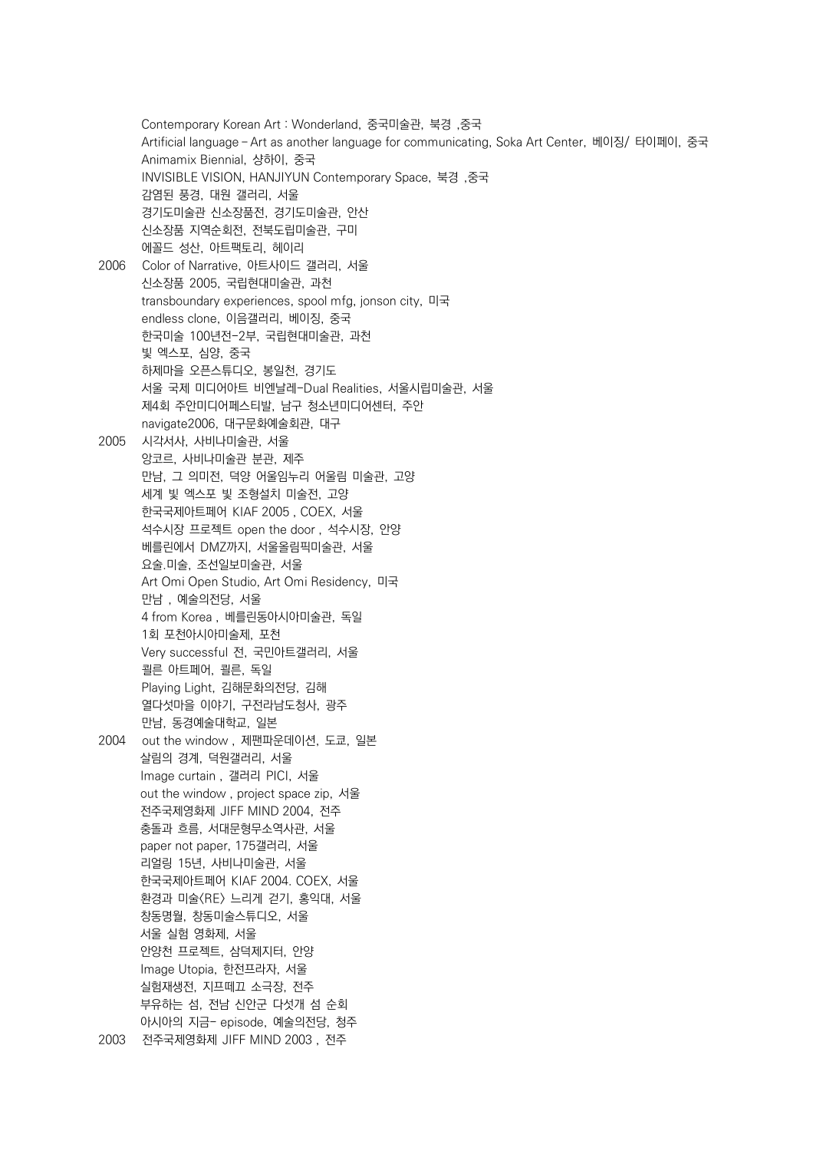Contemporary Korean Art : Wonderland, 중국미술관, 북경 ,중국 Artificial language-Art as another language for communicating, Soka Art Center, 베이징/ 타이페이, 중국 Animamix Biennial, 샹하이, 중국 INVISIBLE VISION, HANJIYUN Contemporary Space, 북경 ,중국 감염된 풍경, 대원 갤러리, 서울 경기도미술관 신소장품전, 경기도미술관, 안산 신소장품 지역순회전, 전북도립미술관, 구미 에꼴드 성산, 아트팩토리, 헤이리 2006 Color of Narrative, 아트사이드 갤러리, 서울 신소장품 2005, 국립현대미술관, 과천 transboundary experiences, spool mfg, jonson city, 미국 endless clone, 이음갤러리, 베이징, 중국 한국미술 100년전-2부, 국립현대미술관, 과천 빛 엑스포, 심양, 중국 하제마을 오픈스튜디오, 봉일천, 경기도 서울 국제 미디어아트 비엔날레-Dual Realities, 서울시립미술관, 서울 제4회 주안미디어페스티발, 남구 청소년미디어센터, 주안 navigate2006, 대구문화예술회관, 대구 2005 시각서사, 사비나미술관, 서울 앙코르, 사비나미술관 분관, 제주 만남, 그 의미전, 덕양 어울임누리 어울림 미술관, 고양 세계 빛 엑스포 빛 조형설치 미술전, 고양 한국국제아트페어 KIAF 2005 , COEX, 서울 석수시장 프로젝트 open the door , 석수시장, 안양 베를린에서 DMZ까지, 서울올림픽미술관, 서울 요술.미술, 조선일보미술관, 서울 Art Omi Open Studio, Art Omi Residency, 미국 만남 , 예술의전당, 서울 4 from Korea , 베를린동아시아미술관, 독일 1회 포천아시아미술제, 포천 Very successful 전, 국민아트갤러리, 서울 쾰른 아트페어, 쾰른, 독일 Playing Light, 김해문화의전당, 김해 열다섯마을 이야기, 구전라남도청사, 광주 만남, 동경예술대학교, 일본 2004 out the window , 제팬파운데이션, 도쿄, 일본 살림의 경계, 덕원갤러리, 서울 Image curtain , 갤러리 PICI, 서울 out the window , project space zip, 서울 전주국제영화제 JIFF MIND 2004, 전주 충돌과 흐름, 서대문형무소역사관, 서울 paper not paper, 175갤러리, 서울 리얼링 15년, 사비나미술관, 서울 한국국제아트페어 KIAF 2004. COEX, 서울 환경과 미술<RE> 느리게 걷기, 홍익대, 서울 창동명월, 창동미술스튜디오, 서울 서울 실험 영화제, 서울 안양천 프로젝트, 삼덕제지터, 안양 Image Utopia, 한전프라자, 서울 실험재생전, 지프떼끄 소극장, 전주 부유하는 섬, 전남 신안군 다섯개 섬 순회 아시아의 지금- episode, 예술의전당, 청주 2003 전주국제영화제 JIFF MIND 2003 , 전주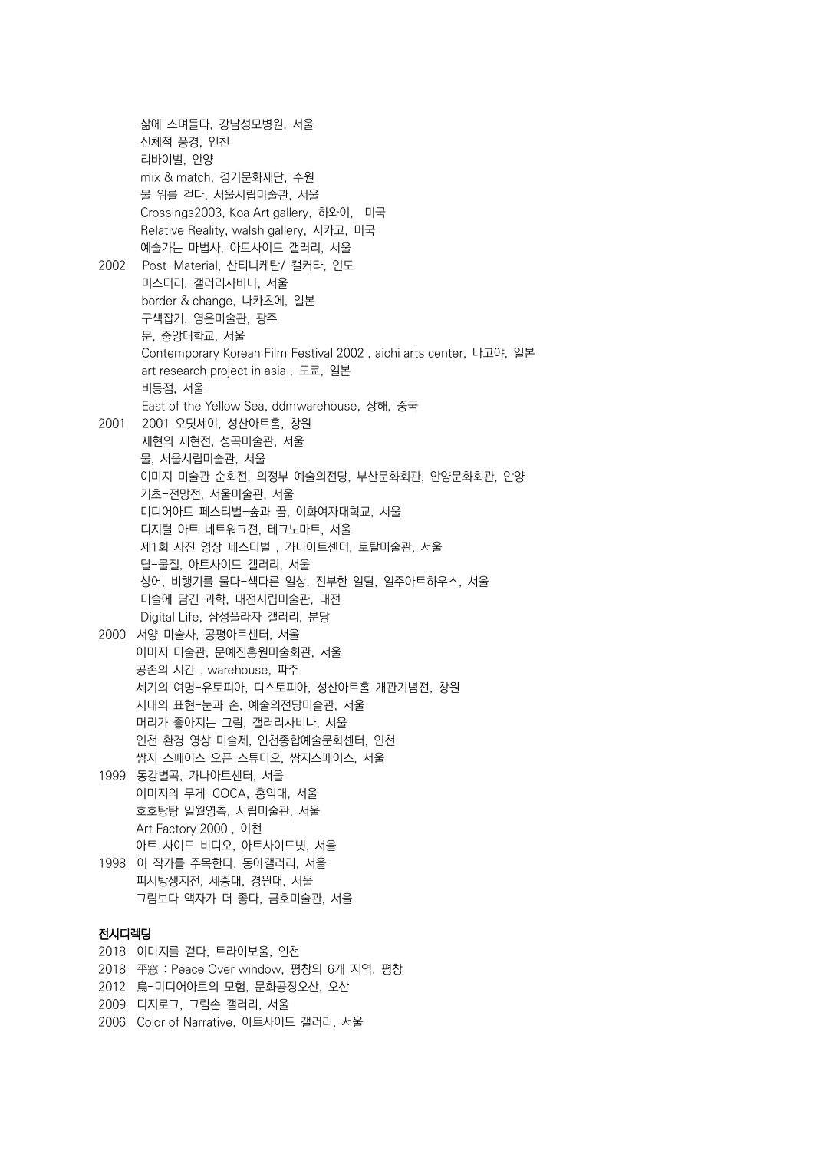삶에 스며들다, 강남성모병원, 서울 신체적 풍경, 인천 리바이벌, 안양 mix & match, 경기문화재단, 수원 물 위를 걷다, 서울시립미술관, 서울 Crossings2003, Koa Art gallery, 하와이, 미국 Relative Reality, walsh gallery, 시카고, 미국 예술가는 마법사, 아트사이드 갤러리, 서울 2002 Post-Material, 산티니케탄/ 캘커타, 인도 미스터리, 갤러리사비나, 서울 border & change, 나카츠에, 일본 구색잡기, 영은미술관, 광주 문, 중앙대학교, 서울 Contemporary Korean Film Festival 2002 , aichi arts center, 나고야, 일본 art research project in asia , 도쿄, 일본 비등점, 서울 East of the Yellow Sea, ddmwarehouse, 상해, 중국 2001 2001 오딧세이, 성산아트홀, 창원 재현의 재현전, 성곡미술관, 서울 물, 서울시립미술관, 서울 이미지 미술관 순회전, 의정부 예술의전당, 부산문화회관, 안양문화회관, 안양 기초-전망전, 서울미술관, 서울 미디어아트 페스티벌-숲과 꿈, 이화여자대학교, 서울 디지털 아트 네트워크전, 테크노마트, 서울 제1회 사진 영상 페스티벌 , 가나아트센터, 토탈미술관, 서울 탈-물질, 아트사이드 갤러리, 서울 상어, 비행기를 물다-색다른 일상, 진부한 일탈, 일주아트하우스, 서울 미술에 담긴 과학, 대전시립미술관, 대전 Digital Life, 삼성플라자 갤러리, 분당 2000 서양 미술사, 공평아트센터, 서울 이미지 미술관, 문예진흥원미술회관, 서울 공존의 시간 , warehouse, 파주 세기의 여명-유토피아, 디스토피아, 성산아트홀 개관기념전, 창원 시대의 표현-눈과 손, 예술의전당미술관, 서울 머리가 좋아지는 그림, 갤러리사비나, 서울 인천 환경 영상 미술제, 인천종합예술문화센터, 인천 쌈지 스페이스 오픈 스튜디오, 쌈지스페이스, 서울 1999 동강별곡, 가나아트센터, 서울 이미지의 무게-COCA, 홍익대, 서울 호호탕탕 일월영측, 시립미술관, 서울 Art Factory 2000 , 이천 아트 사이드 비디오, 아트사이드넷, 서울 1998 이 작가를 주목한다, 동아갤러리, 서울 피시방생지전, 세종대, 경원대, 서울 그림보다 액자가 더 좋다, 금호미술관, 서울 전시디렉팅 2018 이미지를 걷다, 트라이보울, 인천

#### 2018 平窓 : Peace Over window, 평창의 6개 지역, 평창

- 2012 烏-미디어아트의 모험, 문화공장오산, 오산
- 2009 디지로그, 그림손 갤러리, 서울
- 2006 Color of Narrative, 아트사이드 갤러리, 서울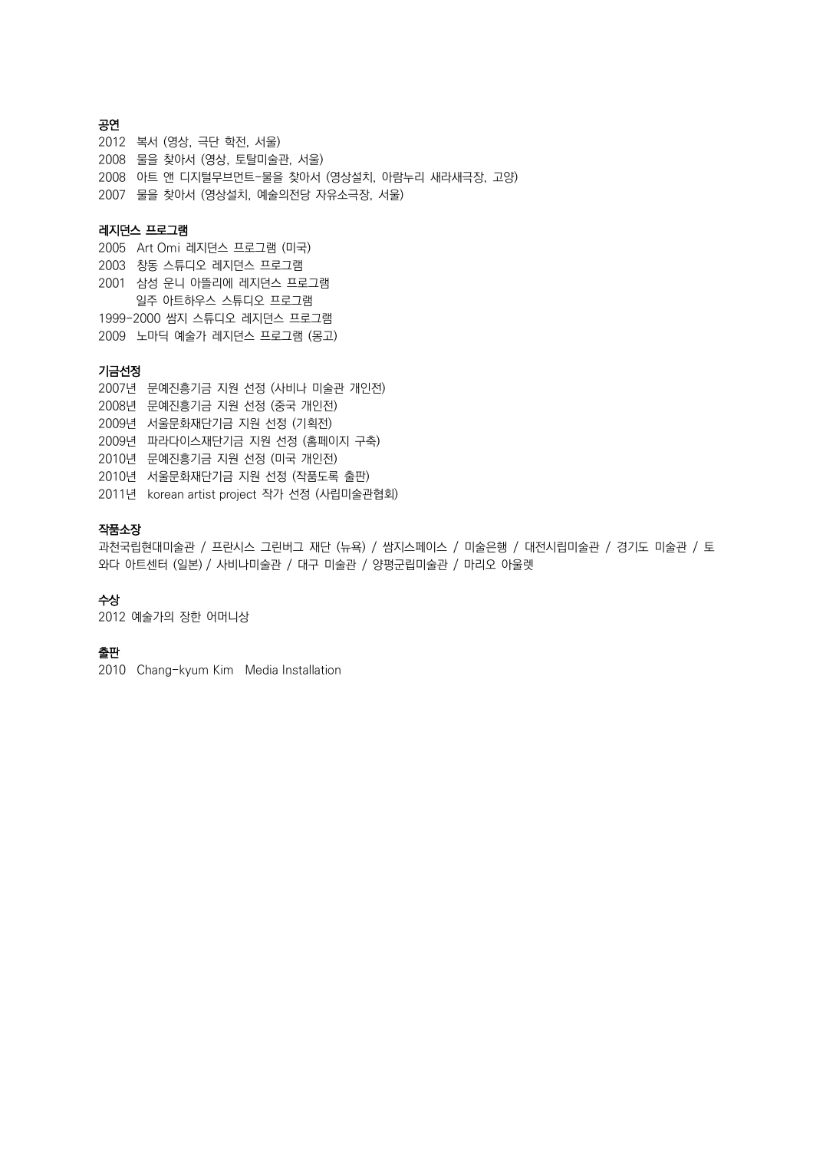#### 공연

복서 (영상, 극단 학전, 서울) 물을 찾아서 (영상, 토탈미술관, 서울) 아트 앤 디지털무브먼트-물을 찾아서 (영상설치, 아람누리 새라새극장, 고양) 물을 찾아서 (영상설치, 예술의전당 자유소극장, 서울)

#### 레지던스 프로그램

2005 Art Omi 레지던스 프로그램 (미국) 2003 창동 스튜디오 레지던스 프로그램 2001 삼성 운니 아뜰리에 레지던스 프로그램 일주 아트하우스 스튜디오 프로그램 1999-2000 쌈지 스튜디오 레지던스 프로그램 2009 노마딕 예술가 레지던스 프로그램 (몽고)

### 기금선정

년 문예진흥기금 지원 선정 (사비나 미술관 개인전) 년 문예진흥기금 지원 선정 (중국 개인전) 년 서울문화재단기금 지원 선정 (기획전) 년 파라다이스재단기금 지원 선정 (홈페이지 구축) 년 문예진흥기금 지원 선정 (미국 개인전) 년 서울문화재단기금 지원 선정 (작품도록 출판) 년 korean artist project 작가 선정 (사립미술관협회)

#### 작품소장

과천국립현대미술관 / 프란시스 그린버그 재단 (뉴욕) / 쌈지스페이스 / 미술은행 / 대전시립미술관 / 경기도 미술관 / 토 와다 아트센터 (일본) / 사비나미술관 / 대구 미술관 / 양평군립미술관 / 마리오 아울렛

#### 수상

2012 예술가의 장한 어머니상

#### 출판

2010 Chang-kyum Kim Media Installation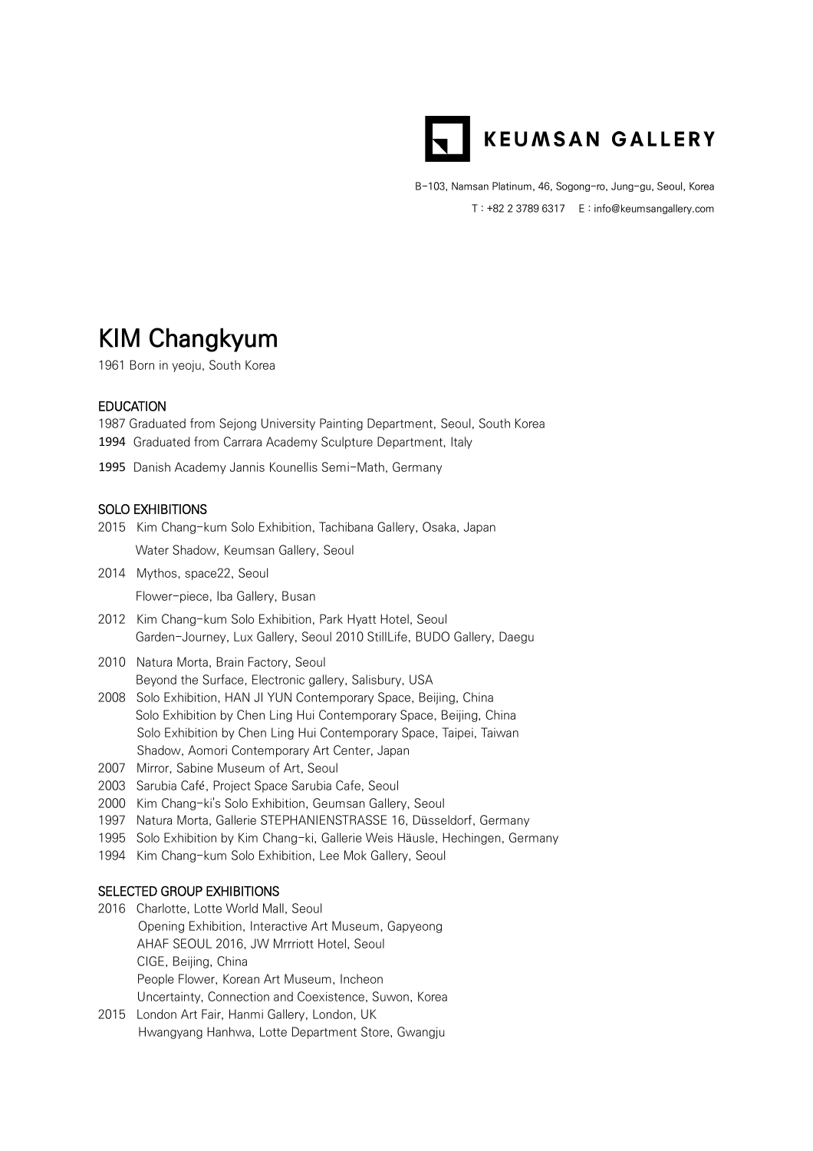

B-103, Namsan Platinum, 46, Sogong-ro, Jung-gu, Seoul, Korea T : +82 2 3789 6317 E : info@keumsangallery.com

# **KIM Changkyum**

1961 Born in yeoju, South Korea

#### EDUCATION

1987 Graduated from Sejong University Painting Department, Seoul, South Korea 1994 Graduated from Carrara Academy Sculpture Department, Italy

1995 Danish Academy Jannis Kounellis Semi-Math, Germany

#### SOLO EXHIBITIONS

2015 Kim Chang-kum Solo Exhibition, Tachibana Gallery, Osaka, Japan

Water Shadow, Keumsan Gallery, Seoul

2014 Mythos, space22, Seoul

Flower-piece, Iba Gallery, Busan

- 2012 Kim Chang-kum Solo Exhibition, Park Hyatt Hotel, Seoul Garden-Journey, Lux Gallery, Seoul 2010 StillLife, BUDO Gallery, Daegu
- 2010 Natura Morta, Brain Factory, Seoul Beyond the Surface, Electronic gallery, Salisbury, USA
- 2008 Solo Exhibition, HAN JI YUN Contemporary Space, Beijing, China Solo Exhibition by Chen Ling Hui Contemporary Space, Beijing, China Solo Exhibition by Chen Ling Hui Contemporary Space, Taipei, Taiwan Shadow, Aomori Contemporary Art Center, Japan
- 2007 Mirror, Sabine Museum of Art, Seoul
- 2003 Sarubia Café , Project Space Sarubia Cafe, Seoul
- 2000 Kim Chang-ki's Solo Exhibition, Geumsan Gallery, Seoul
- 1997 Natura Morta, Gallerie STEPHANIENSTRASSE 16, Düsseldorf, Germany
- 1995 Solo Exhibition by Kim Chang-ki, Gallerie Weis Häusle, Hechingen, Germany
- 1994 Kim Chang-kum Solo Exhibition, Lee Mok Gallery, Seoul

#### SELECTED GROUP EXHIBITIONS

- 2016 Charlotte, Lotte World Mall, Seoul Opening Exhibition, Interactive Art Museum, Gapyeong AHAF SEOUL 2016, JW Mrrriott Hotel, Seoul CIGE, Beijing, China People Flower, Korean Art Museum, Incheon Uncertainty, Connection and Coexistence, Suwon, Korea
- 2015 London Art Fair, Hanmi Gallery, London, UK Hwangyang Hanhwa, Lotte Department Store, Gwangju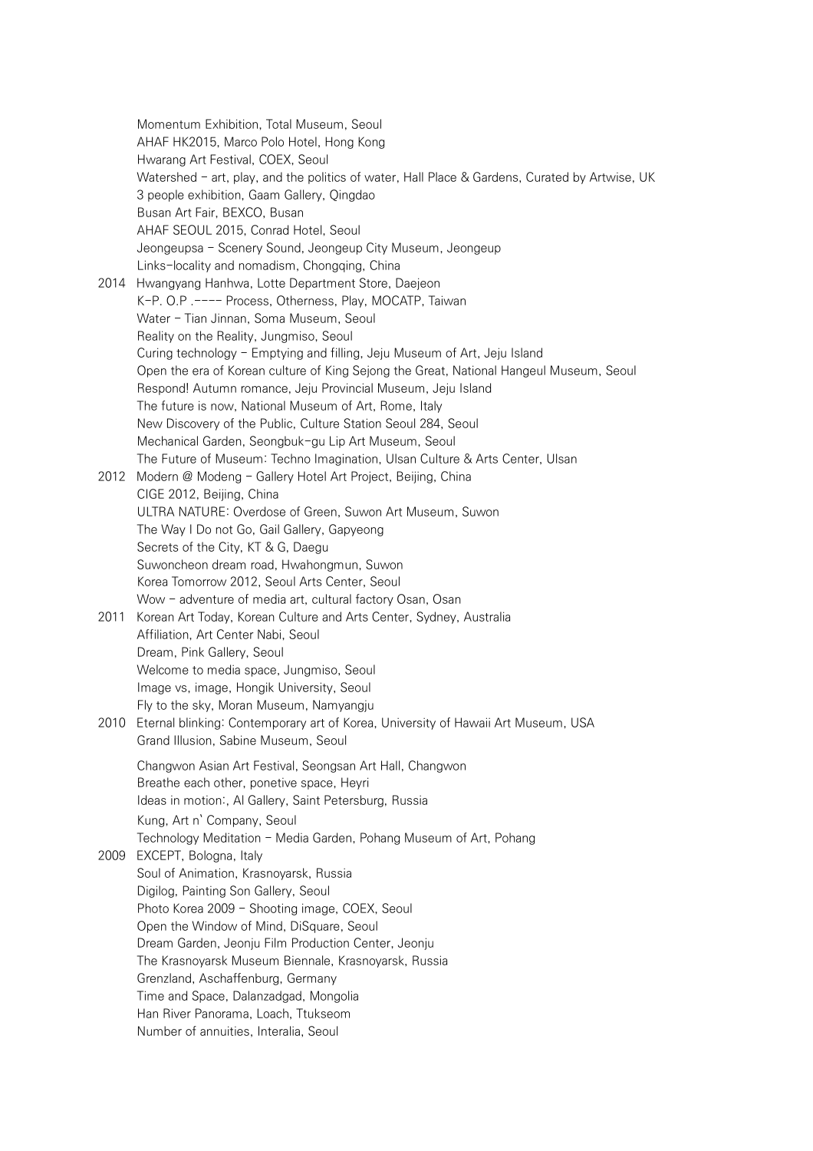Momentum Exhibition, Total Museum, Seoul AHAF HK2015, Marco Polo Hotel, Hong Kong Hwarang Art Festival, COEX, Seoul Watershed - art, play, and the politics of water, Hall Place & Gardens, Curated by Artwise, UK 3 people exhibition, Gaam Gallery, Qingdao Busan Art Fair, BEXCO, Busan AHAF SEOUL 2015, Conrad Hotel, Seoul Jeongeupsa - Scenery Sound, Jeongeup City Museum, Jeongeup Links-locality and nomadism, Chongqing, China 2014 Hwangyang Hanhwa, Lotte Department Store, Daejeon K-P. O.P .---- Process, Otherness, Play, MOCATP, Taiwan Water - Tian Jinnan, Soma Museum, Seoul Reality on the Reality, Jungmiso, Seoul Curing technology - Emptying and filling, Jeju Museum of Art, Jeju Island Open the era of Korean culture of King Sejong the Great, National Hangeul Museum, Seoul Respond! Autumn romance, Jeju Provincial Museum, Jeju Island The future is now, National Museum of Art, Rome, Italy New Discovery of the Public, Culture Station Seoul 284, Seoul Mechanical Garden, Seongbuk-gu Lip Art Museum, Seoul The Future of Museum: Techno Imagination, Ulsan Culture & Arts Center, Ulsan 2012 Modern @ Modeng - Gallery Hotel Art Project, Beijing, China CIGE 2012, Beijing, China ULTRA NATURE: Overdose of Green, Suwon Art Museum, Suwon The Way I Do not Go, Gail Gallery, Gapyeong Secrets of the City, KT & G, Daegu Suwoncheon dream road, Hwahongmun, Suwon Korea Tomorrow 2012, Seoul Arts Center, Seoul Wow - adventure of media art, cultural factory Osan, Osan 2011 Korean Art Today, Korean Culture and Arts Center, Sydney, Australia Affiliation, Art Center Nabi, Seoul Dream, Pink Gallery, Seoul Welcome to media space, Jungmiso, Seoul Image vs, image, Hongik University, Seoul Fly to the sky, Moran Museum, Namyangju 2010 Eternal blinking: Contemporary art of Korea, University of Hawaii Art Museum, USA Grand Illusion, Sabine Museum, Seoul Changwon Asian Art Festival, Seongsan Art Hall, Changwon Breathe each other, ponetive space, Heyri Ideas in motion:, Al Gallery, Saint Petersburg, Russia Kung, Art n` Company, Seoul Technology Meditation - Media Garden, Pohang Museum of Art, Pohang 2009 EXCEPT, Bologna, Italy Soul of Animation, Krasnoyarsk, Russia Digilog, Painting Son Gallery, Seoul Photo Korea 2009 - Shooting image, COEX, Seoul Open the Window of Mind, DiSquare, Seoul Dream Garden, Jeonju Film Production Center, Jeonju The Krasnoyarsk Museum Biennale, Krasnoyarsk, Russia Grenzland, Aschaffenburg, Germany Time and Space, Dalanzadgad, Mongolia Han River Panorama, Loach, Ttukseom Number of annuities, Interalia, Seoul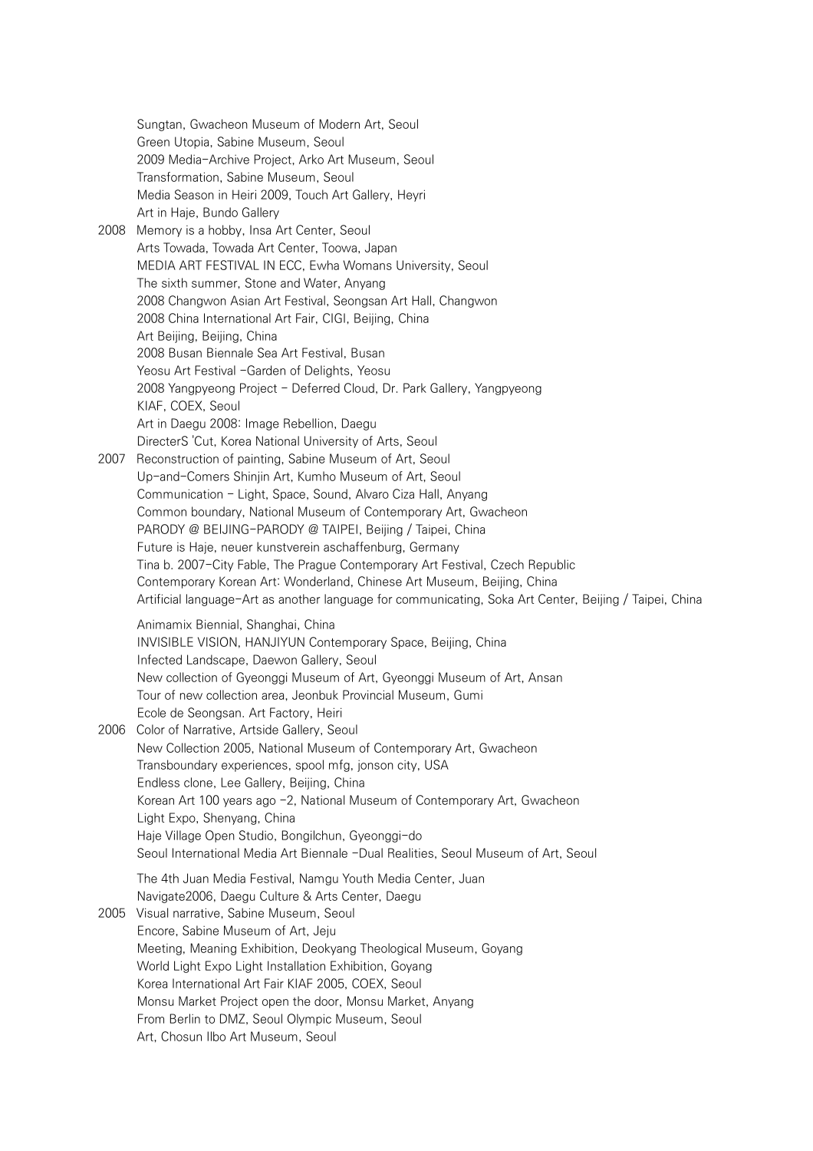Sungtan, Gwacheon Museum of Modern Art, Seoul Green Utopia, Sabine Museum, Seoul 2009 Media-Archive Project, Arko Art Museum, Seoul Transformation, Sabine Museum, Seoul Media Season in Heiri 2009, Touch Art Gallery, Heyri Art in Haje, Bundo Gallery 2008 Memory is a hobby, Insa Art Center, Seoul Arts Towada, Towada Art Center, Toowa, Japan MEDIA ART FESTIVAL IN ECC, Ewha Womans University, Seoul The sixth summer, Stone and Water, Anyang 2008 Changwon Asian Art Festival, Seongsan Art Hall, Changwon 2008 China International Art Fair, CIGI, Beijing, China Art Beijing, Beijing, China 2008 Busan Biennale Sea Art Festival, Busan Yeosu Art Festival -Garden of Delights, Yeosu 2008 Yangpyeong Project - Deferred Cloud, Dr. Park Gallery, Yangpyeong KIAF, COEX, Seoul Art in Daegu 2008: Image Rebellion, Daegu DirecterS 'Cut, Korea National University of Arts, Seoul 2007 Reconstruction of painting, Sabine Museum of Art, Seoul Up-and-Comers Shinjin Art, Kumho Museum of Art, Seoul Communication - Light, Space, Sound, Alvaro Ciza Hall, Anyang Common boundary, National Museum of Contemporary Art, Gwacheon PARODY @ BEIJING-PARODY @ TAIPEI, Beijing / Taipei, China Future is Haje, neuer kunstverein aschaffenburg, Germany Tina b. 2007-City Fable, The Prague Contemporary Art Festival, Czech Republic Contemporary Korean Art: Wonderland, Chinese Art Museum, Beijing, China Artificial language-Art as another language for communicating, Soka Art Center, Beijing / Taipei, China Animamix Biennial, Shanghai, China INVISIBLE VISION, HANJIYUN Contemporary Space, Beijing, China Infected Landscape, Daewon Gallery, Seoul New collection of Gyeonggi Museum of Art, Gyeonggi Museum of Art, Ansan Tour of new collection area, Jeonbuk Provincial Museum, Gumi Ecole de Seongsan. Art Factory, Heiri 2006 Color of Narrative, Artside Gallery, Seoul New Collection 2005, National Museum of Contemporary Art, Gwacheon Transboundary experiences, spool mfg, jonson city, USA Endless clone, Lee Gallery, Beijing, China Korean Art 100 years ago -2, National Museum of Contemporary Art, Gwacheon Light Expo, Shenyang, China Haje Village Open Studio, Bongilchun, Gyeonggi-do Seoul International Media Art Biennale -Dual Realities, Seoul Museum of Art, Seoul The 4th Juan Media Festival, Namgu Youth Media Center, Juan Navigate2006, Daegu Culture & Arts Center, Daegu 2005 Visual narrative, Sabine Museum, Seoul Encore, Sabine Museum of Art, Jeju Meeting, Meaning Exhibition, Deokyang Theological Museum, Goyang World Light Expo Light Installation Exhibition, Goyang Korea International Art Fair KIAF 2005, COEX, Seoul Monsu Market Project open the door, Monsu Market, Anyang From Berlin to DMZ, Seoul Olympic Museum, Seoul Art, Chosun Ilbo Art Museum, Seoul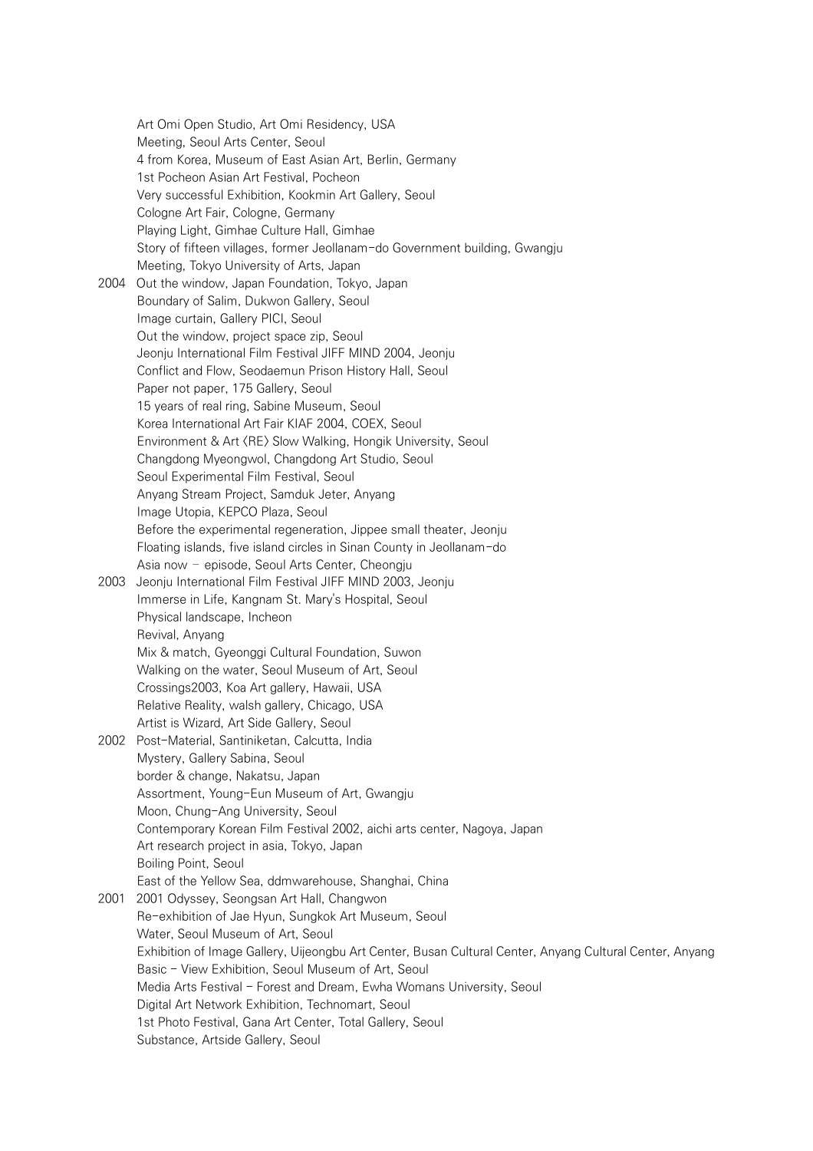Art Omi Open Studio, Art Omi Residency, USA Meeting, Seoul Arts Center, Seoul 4 from Korea, Museum of East Asian Art, Berlin, Germany 1st Pocheon Asian Art Festival, Pocheon Very successful Exhibition, Kookmin Art Gallery, Seoul Cologne Art Fair, Cologne, Germany Playing Light, Gimhae Culture Hall, Gimhae Story of fifteen villages, former Jeollanam-do Government building, Gwangju Meeting, Tokyo University of Arts, Japan 2004 Out the window, Japan Foundation, Tokyo, Japan Boundary of Salim, Dukwon Gallery, Seoul Image curtain, Gallery PICI, Seoul Out the window, project space zip, Seoul Jeonju International Film Festival JIFF MIND 2004, Jeonju Conflict and Flow, Seodaemun Prison History Hall, Seoul Paper not paper, 175 Gallery, Seoul 15 years of real ring, Sabine Museum, Seoul Korea International Art Fair KIAF 2004, COEX, Seoul Environment & Art 〈RE〉 Slow Walking, Hongik University, Seoul Changdong Myeongwol, Changdong Art Studio, Seoul Seoul Experimental Film Festival, Seoul Anyang Stream Project, Samduk Jeter, Anyang Image Utopia, KEPCO Plaza, Seoul Before the experimental regeneration, Jippee small theater, Jeonju Floating islands, five island circles in Sinan County in Jeollanam-do Asia now – episode, Seoul Arts Center, Cheongju 2003 Jeonju International Film Festival JIFF MIND 2003, Jeonju Immerse in Life, Kangnam St. Mary's Hospital, Seoul Physical landscape, Incheon Revival, Anyang Mix & match, Gyeonggi Cultural Foundation, Suwon Walking on the water, Seoul Museum of Art, Seoul Crossings2003, Koa Art gallery, Hawaii, USA Relative Reality, walsh gallery, Chicago, USA Artist is Wizard, Art Side Gallery, Seoul 2002 Post-Material, Santiniketan, Calcutta, India Mystery, Gallery Sabina, Seoul border & change, Nakatsu, Japan Assortment, Young-Eun Museum of Art, Gwangju Moon, Chung-Ang University, Seoul Contemporary Korean Film Festival 2002, aichi arts center, Nagoya, Japan Art research project in asia, Tokyo, Japan Boiling Point, Seoul East of the Yellow Sea, ddmwarehouse, Shanghai, China 2001 2001 Odyssey, Seongsan Art Hall, Changwon Re-exhibition of Jae Hyun, Sungkok Art Museum, Seoul Water, Seoul Museum of Art, Seoul Exhibition of Image Gallery, Uijeongbu Art Center, Busan Cultural Center, Anyang Cultural Center, Anyang Basic - View Exhibition, Seoul Museum of Art, Seoul Media Arts Festival - Forest and Dream, Ewha Womans University, Seoul Digital Art Network Exhibition, Technomart, Seoul 1st Photo Festival, Gana Art Center, Total Gallery, Seoul Substance, Artside Gallery, Seoul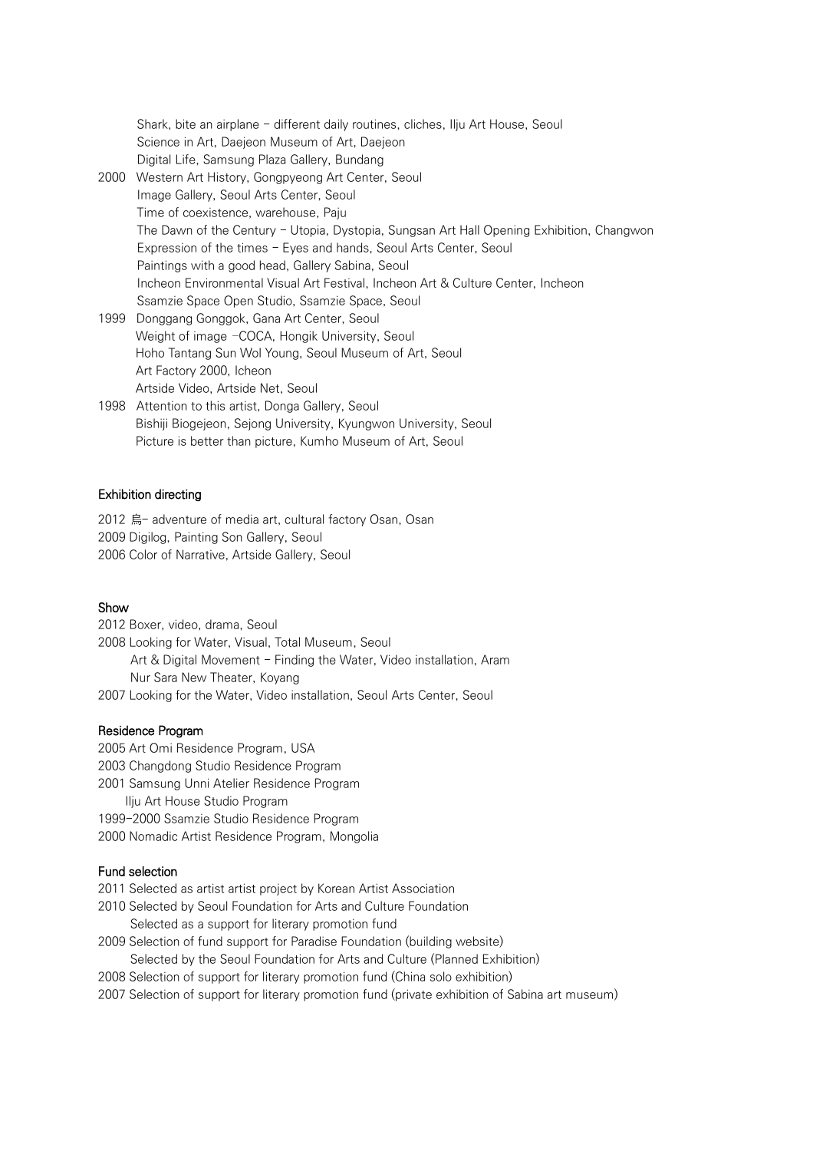Shark, bite an airplane - different daily routines, cliches, Ilju Art House, Seoul Science in Art, Daejeon Museum of Art, Daejeon Digital Life, Samsung Plaza Gallery, Bundang 2000 Western Art History, Gongpyeong Art Center, Seoul Image Gallery, Seoul Arts Center, Seoul Time of coexistence, warehouse, Paju The Dawn of the Century - Utopia, Dystopia, Sungsan Art Hall Opening Exhibition, Changwon Expression of the times - Eyes and hands, Seoul Arts Center, Seoul Paintings with a good head, Gallery Sabina, Seoul Incheon Environmental Visual Art Festival, Incheon Art & Culture Center, Incheon Ssamzie Space Open Studio, Ssamzie Space, Seoul 1999 Donggang Gonggok, Gana Art Center, Seoul Weight of image –COCA, Hongik University, Seoul Hoho Tantang Sun Wol Young, Seoul Museum of Art, Seoul Art Factory 2000, Icheon Artside Video, Artside Net, Seoul 1998 Attention to this artist, Donga Gallery, Seoul Bishiji Biogejeon, Sejong University, Kyungwon University, Seoul

Picture is better than picture, Kumho Museum of Art, Seoul

#### Exhibition directing

2012 烏- adventure of media art, cultural factory Osan, Osan 2009 Digilog, Painting Son Gallery, Seoul 2006 Color of Narrative, Artside Gallery, Seoul

# Show

2012 Boxer, video, drama, Seoul

- 2008 Looking for Water, Visual, Total Museum, Seoul
- Art & Digital Movement Finding the Water, Video installation, Aram Nur Sara New Theater, Koyang
- 2007 Looking for the Water, Video installation, Seoul Arts Center, Seoul

#### Residence Program

- 2005 Art Omi Residence Program, USA
- 2003 Changdong Studio Residence Program
- 2001 Samsung Unni Atelier Residence Program
	- Ilju Art House Studio Program
- 1999-2000 Ssamzie Studio Residence Program
- 2000 Nomadic Artist Residence Program, Mongolia

#### Fund selection

- 2011 Selected as artist artist project by Korean Artist Association
- 2010 Selected by Seoul Foundation for Arts and Culture Foundation Selected as a support for literary promotion fund
- 2009 Selection of fund support for Paradise Foundation (building website) Selected by the Seoul Foundation for Arts and Culture (Planned Exhibition)
- 2008 Selection of support for literary promotion fund (China solo exhibition)
- 2007 Selection of support for literary promotion fund (private exhibition of Sabina art museum)